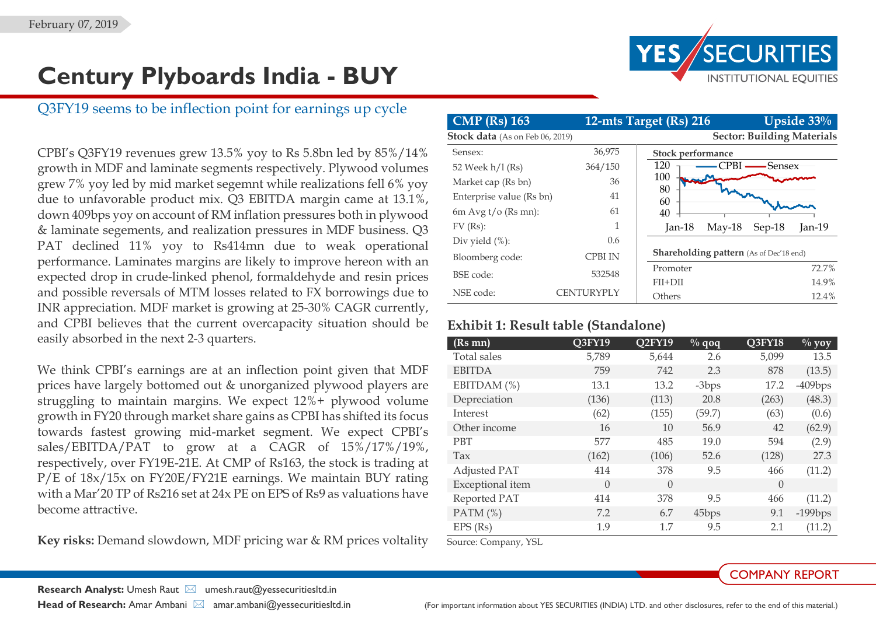# **Century Plyboards India - BUY**

# Q3FY19 seems to be inflection point for earnings up cycle

CPBI's Q3FY19 revenues grew 13.5% yoy to Rs 5.8bn led by 85%/14% growth in MDF and laminate segments respectively. Plywood volumes grew 7% yoy led by mid market segemnt while realizations fell 6% yoy due to unfavorable product mix. Q3 EBITDA margin came at 13.1%, down 409bps yoy on account of RM inflation pressures both in plywood & laminate segements, and realization pressures in MDF business. Q3 PAT declined 11% yoy to Rs414mn due to weak operational performance. Laminates margins are likely to improve hereon with an expected drop in crude-linked phenol, formaldehyde and resin prices and possible reversals of MTM losses related to FX borrowings due to INR appreciation. MDF market is growing at 25-30% CAGR currently, and CPBI believes that the current overcapacity situation should be easily absorbed in the next 2-3 quarters.

We think CPBI's earnings are at an inflection point given that MDF prices have largely bottomed out & unorganized plywood players are struggling to maintain margins. We expect 12%+ plywood volume growth in FY20 through market share gains as CPBI has shifted its focus towards fastest growing mid-market segment. We expect CPBI's sales/EBITDA/PAT to grow at a CAGR of 15%/17%/19%, respectively, over FY19E-21E. At CMP of Rs163, the stock is trading at P/E of 18x/15x on FY20E/FY21E earnings. We maintain BUY rating with a Mar'20 TP of Rs216 set at 24x PE on EPS of Rs9 as valuations have become attractive.

**Key risks:** Demand slowdown, MDF pricing war & RM prices voltality

| <b>CMP</b> (Rs) 163             |               | Upside $33%$<br>12-mts Target (Rs) 216         |                                   |          |  |
|---------------------------------|---------------|------------------------------------------------|-----------------------------------|----------|--|
| Stock data (As on Feb 06, 2019) |               |                                                | <b>Sector: Building Materials</b> |          |  |
| Sensex:                         | 36,975        | Stock performance                              |                                   |          |  |
| 52 Week h/l (Rs)                | 364/150       | 120<br>CPBI -                                  | <del>-</del> Sensex               |          |  |
| Market cap (Rs bn)              | 36            | 100                                            |                                   |          |  |
| Enterprise value (Rs bn)        | 41            | 80<br>60                                       |                                   |          |  |
| 6m Avg $t$ / $\sigma$ (Rs mn):  | 61            | 40                                             |                                   |          |  |
| $FV$ (Rs):                      | 1             | $May-18$<br>$Jan-18$                           | Sep-18                            | $Jan-19$ |  |
| Div yield $(\%)$ :              | $0.6^{\circ}$ |                                                |                                   |          |  |
| Bloomberg code:                 | CPBI IN       | <b>Shareholding pattern</b> (As of Dec'18 end) |                                   |          |  |
| BSE code:                       | 532548        | Promoter                                       |                                   | 72.7%    |  |
|                                 |               | FII+DII                                        |                                   | 14.9%    |  |
| NSE code:                       | CENTURYPLY    | Others                                         |                                   | 12.4%    |  |

## **Exhibit 1: Result table (Standalone)**

| $(Rs$ mn $)$     | Q3FY19   | Q <sub>2</sub> FY <sub>19</sub> | $\frac{9}{6}$ qoq | Q3FY18   | $\frac{0}{0}$ yoy |
|------------------|----------|---------------------------------|-------------------|----------|-------------------|
| Total sales      | 5,789    | 5,644                           | 2.6               | 5,099    | 13.5              |
| <b>EBITDA</b>    | 759      | 742                             | 2.3               | 878      | (13.5)            |
| EBITDAM (%)      | 13.1     | 13.2                            | $-3bps$           | 17.2     | $-409$ bps        |
| Depreciation     | (136)    | (113)                           | 20.8              | (263)    | (48.3)            |
| Interest         | (62)     | (155)                           | (59.7)            | (63)     | (0.6)             |
| Other income     | 16       | 10                              | 56.9              | 42       | (62.9)            |
| <b>PBT</b>       | 577      | 485                             | 19.0              | 594      | (2.9)             |
| Tax              | (162)    | (106)                           | 52.6              | (128)    | 27.3              |
| Adjusted PAT     | 414      | 378                             | 9.5               | 466      | (11.2)            |
| Exceptional item | $\left($ | $\Omega$                        |                   | $\left($ |                   |
| Reported PAT     | 414      | 378                             | 9.5               | 466      | (11.2)            |
| PATM $(\%)$      | 7.2      | 6.7                             | 45bps             | 9.1      | $-199$ bps        |
| $EPS$ (Rs)       | 1.9      | 1.7                             | 9.5               | 2.1      | (11.2)            |

Source: Company, YSL

## COMPANY REPORT

**Research Analyst:** Umesh Raut ⊠ umesh.raut@yessecuritiesltd.in

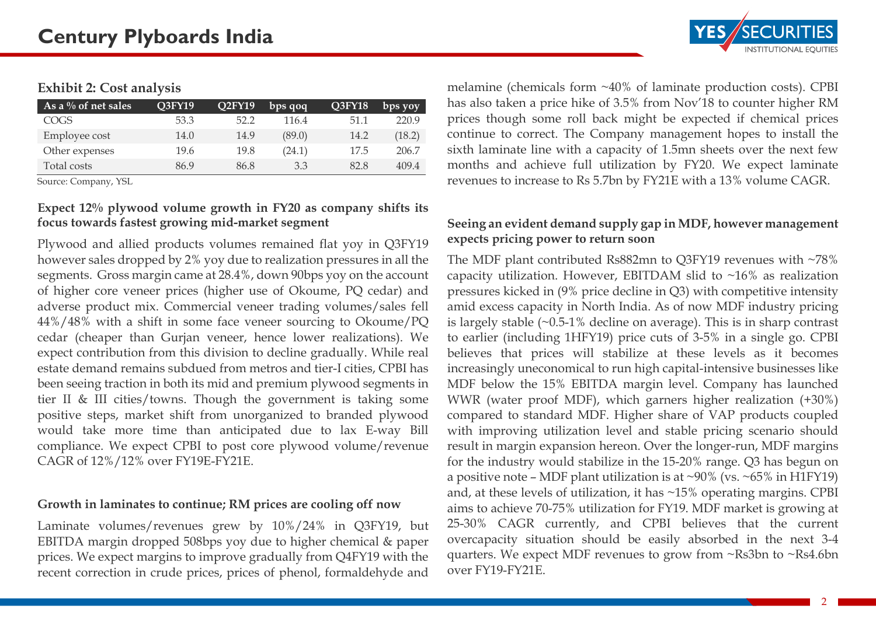## **Exhibit 2: Cost analysis**

| As a $\%$ of net sales | Q3FY19 | <b>O2FY19</b> | bps qoq | <b>O3FY18</b> | bps yoy |
|------------------------|--------|---------------|---------|---------------|---------|
| COGS                   | 53.3   | 52.2          | 116.4   | 51.1          | 220.9   |
| Employee cost          | 14.0   | 14.9          | (89.0)  | 14.2          | (18.2)  |
| Other expenses         | 19.6   | 19.8          | (24.1)  | 17.5          | 206.7   |
| Total costs            | 86.9   | 86.8          | 3.3     | 82.8          | 409.4   |

Source: Company, YSL

#### **Expect 12% plywood volume growth in FY20 as company shifts its focus towards fastest growing mid-market segment**

Plywood and allied products volumes remained flat yoy in Q3FY19 however sales dropped by 2% yoy due to realization pressures in all the segments. Gross margin came at 28.4%, down 90bps yoy on the account of higher core veneer prices (higher use of Okoume, PQ cedar) and adverse product mix. Commercial veneer trading volumes/sales fell 44%/48% with a shift in some face veneer sourcing to Okoume/PQ cedar (cheaper than Gurjan veneer, hence lower realizations). We expect contribution from this division to decline gradually. While real estate demand remains subdued from metros and tier-I cities, CPBI has been seeing traction in both its mid and premium plywood segments in tier II & III cities/towns. Though the government is taking some positive steps, market shift from unorganized to branded plywood would take more time than anticipated due to lax E-way Bill compliance. We expect CPBI to post core plywood volume/revenue CAGR of 12%/12% over FY19E-FY21E.

#### **Growth in laminates to continue; RM prices are cooling off now**

Laminate volumes/revenues grew by 10%/24% in Q3FY19, but EBITDA margin dropped 508bps yoy due to higher chemical & paper prices. We expect margins to improve gradually from Q4FY19 with the recent correction in crude prices, prices of phenol, formaldehyde and melamine (chemicals form ~40% of laminate production costs). CPBI has also taken a price hike of 3.5% from Nov'18 to counter higher RM prices though some roll back might be expected if chemical prices continue to correct. The Company management hopes to install the sixth laminate line with a capacity of 1.5mn sheets over the next few months and achieve full utilization by FY20. We expect laminate revenues to increase to Rs 5.7bn by FY21E with a 13% volume CAGR.

## **Seeing an evident demand supply gap in MDF, however management expects pricing power to return soon**

The MDF plant contributed Rs882mn to Q3FY19 revenues with ~78% capacity utilization. However, EBITDAM slid to  $~16\%$  as realization pressures kicked in (9% price decline in Q3) with competitive intensity amid excess capacity in North India. As of now MDF industry pricing is largely stable  $(\sim 0.5-1\%$  decline on average). This is in sharp contrast to earlier (including 1HFY19) price cuts of 3-5% in a single go. CPBI believes that prices will stabilize at these levels as it becomes increasingly uneconomical to run high capital-intensive businesses like MDF below the 15% EBITDA margin level. Company has launched WWR (water proof MDF), which garners higher realization (+30%) compared to standard MDF. Higher share of VAP products coupled with improving utilization level and stable pricing scenario should result in margin expansion hereon. Over the longer-run, MDF margins for the industry would stabilize in the 15-20% range. Q3 has begun on a positive note – MDF plant utilization is at  $\sim$ 90% (vs.  $\sim$  65% in H1FY19) and, at these levels of utilization, it has ~15% operating margins. CPBI aims to achieve 70-75% utilization for FY19. MDF market is growing at 25-30% CAGR currently, and CPBI believes that the current overcapacity situation should be easily absorbed in the next 3-4 quarters. We expect MDF revenues to grow from ~Rs3bn to ~Rs4.6bn over FY19-FY21E.

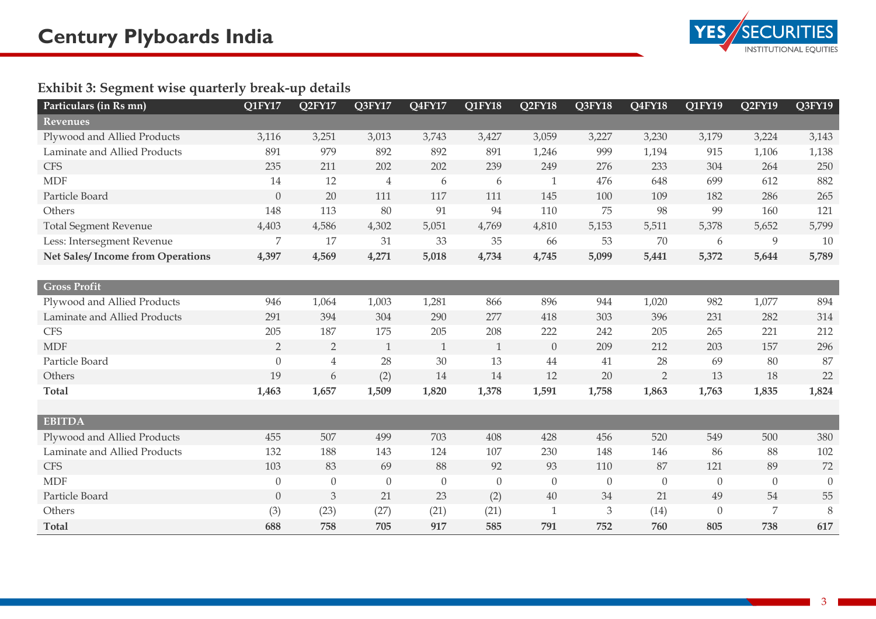

## **Exhibit 3: Segment wise quarterly break-up details**

| Particulars (in Rs mn)                  | $\overline{Q1FY17}$ | Q <sub>2</sub> FY <sub>17</sub> | Q3FY17           | Q4FY17           | Q1FY18           | Q2FY18       | Q3FY18                      | Q4FY18         | Q1FY19           | Q2FY19           | Q3FY19   |
|-----------------------------------------|---------------------|---------------------------------|------------------|------------------|------------------|--------------|-----------------------------|----------------|------------------|------------------|----------|
| Revenues                                |                     |                                 |                  |                  |                  |              |                             |                |                  |                  |          |
| Plywood and Allied Products             | 3,116               | 3,251                           | 3,013            | 3,743            | 3,427            | 3,059        | 3,227                       | 3,230          | 3,179            | 3,224            | 3,143    |
| Laminate and Allied Products            | 891                 | 979                             | 892              | 892              | 891              | 1,246        | 999                         | 1,194          | 915              | 1,106            | 1,138    |
| <b>CFS</b>                              | 235                 | 211                             | 202              | 202              | 239              | 249          | 276                         | 233            | 304              | 264              | 250      |
| <b>MDF</b>                              | 14                  | 12                              | $\overline{4}$   | 6                | 6                | $\mathbf 1$  | 476                         | 648            | 699              | 612              | 882      |
| Particle Board                          | $\theta$            | 20                              | 111              | 117              | 111              | 145          | 100                         | 109            | 182              | 286              | 265      |
| Others                                  | 148                 | 113                             | 80               | 91               | 94               | 110          | 75                          | 98             | 99               | 160              | 121      |
| <b>Total Segment Revenue</b>            | 4,403               | 4,586                           | 4,302            | 5,051            | 4,769            | 4,810        | 5,153                       | 5,511          | 5,378            | 5,652            | 5,799    |
| Less: Intersegment Revenue              | 7                   | 17                              | 31               | 33               | 35               | 66           | 53                          | 70             | 6                | 9                | 10       |
| <b>Net Sales/Income from Operations</b> | 4,397               | 4,569                           | 4,271            | 5,018            | 4,734            | 4,745        | 5,099                       | 5,441          | 5,372            | 5,644            | 5,789    |
|                                         |                     |                                 |                  |                  |                  |              |                             |                |                  |                  |          |
| <b>Gross Profit</b>                     |                     |                                 |                  |                  |                  |              |                             |                |                  |                  |          |
| Plywood and Allied Products             | 946                 | 1,064                           | 1,003            | 1,281            | 866              | 896          | 944                         | 1,020          | 982              | 1,077            | 894      |
| Laminate and Allied Products            | 291                 | 394                             | 304              | 290              | 277              | 418          | 303                         | 396            | 231              | 282              | 314      |
| <b>CFS</b>                              | 205                 | 187                             | 175              | 205              | 208              | 222          | 242                         | 205            | 265              | 221              | 212      |
| <b>MDF</b>                              | $\overline{2}$      | $\overline{2}$                  | 1                | $\mathbf{1}$     | $\mathbf{1}$     | $\theta$     | 209                         | 212            | 203              | 157              | 296      |
| Particle Board                          | $\theta$            | $\overline{4}$                  | 28               | 30               | 13               | 44           | 41                          | 28             | 69               | 80               | 87       |
| Others                                  | 19                  | 6                               | (2)              | 14               | 14               | 12           | 20                          | $\overline{2}$ | 13               | 18               | 22       |
| <b>Total</b>                            | 1,463               | 1,657                           | 1,509            | 1,820            | 1,378            | 1,591        | 1,758                       | 1,863          | 1,763            | 1,835            | 1,824    |
|                                         |                     |                                 |                  |                  |                  |              |                             |                |                  |                  |          |
| <b>EBITDA</b>                           |                     |                                 |                  |                  |                  |              |                             |                |                  |                  |          |
| Plywood and Allied Products             | 455                 | 507                             | 499              | 703              | 408              | 428          | 456                         | 520            | 549              | 500              | 380      |
| Laminate and Allied Products            | 132                 | 188                             | 143              | 124              | 107              | 230          | 148                         | 146            | 86               | 88               | 102      |
| <b>CFS</b>                              | 103                 | 83                              | 69               | 88               | 92               | 93           | 110                         | 87             | 121              | 89               | 72       |
| <b>MDF</b>                              | $\theta$            | $\theta$                        | $\boldsymbol{0}$ | $\boldsymbol{0}$ | $\boldsymbol{0}$ | $\theta$     | $\theta$                    | $\theta$       | $\boldsymbol{0}$ | $\boldsymbol{0}$ | $\theta$ |
| Particle Board                          | $\theta$            | 3                               | 21               | 23               | (2)              | 40           | 34                          | 21             | 49               | 54               | 55       |
| Others                                  | (3)                 | (23)                            | (27)             | (21)             | (21)             | $\mathbf{1}$ | $\ensuremath{\mathfrak{Z}}$ | (14)           | $\theta$         | 7                | 8        |
| <b>Total</b>                            | 688                 | 758                             | 705              | 917              | 585              | 791          | 752                         | 760            | 805              | 738              | 617      |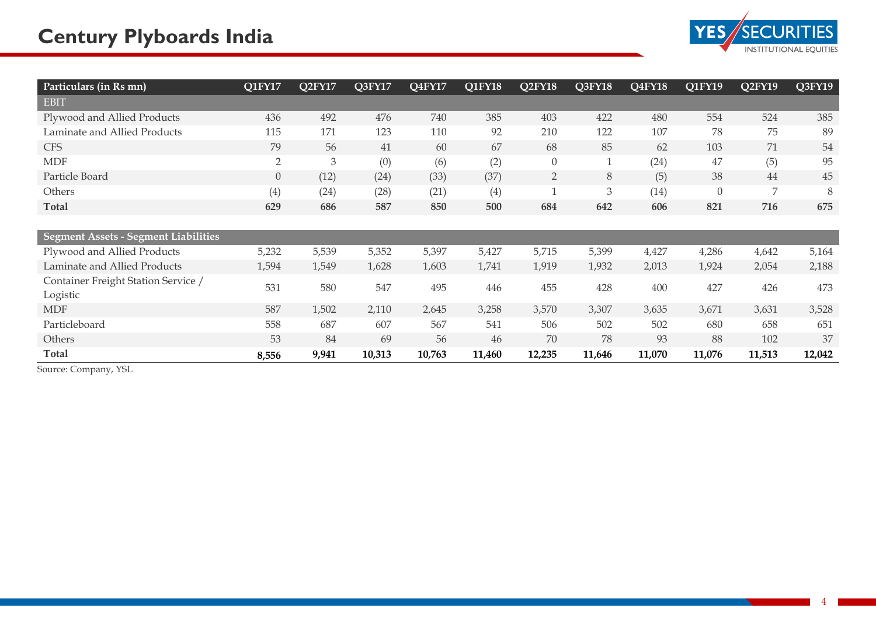

| Particulars (in Rs mn)                          | Q1FY17         | Q2FY17         | Q3FY17 | Q4FY17 | Q1FY18 | Q2FY18         | Q3FY18       | Q4FY18 | Q1FY19         | Q2FY19 | Q3FY19 |
|-------------------------------------------------|----------------|----------------|--------|--------|--------|----------------|--------------|--------|----------------|--------|--------|
| EBIT                                            |                |                |        |        |        |                |              |        |                |        |        |
| Plywood and Allied Products                     | 436            | 492            | 476    | 740    | 385    | 403            | 422          | 480    | 554            | 524    | 385    |
| Laminate and Allied Products                    | 115            | 171            | 123    | 110    | 92     | 210            | 122          | 107    | 78             | 75     | 89     |
| <b>CFS</b>                                      | 79             | 56             | 41     | 60     | 67     | 68             | 85           | 62     | 103            | 71     | 54     |
| <b>MDF</b>                                      | $\overline{2}$ | $\mathfrak{Z}$ | (0)    | (6)    | (2)    | $\theta$       | $\mathbf{1}$ | (24)   | 47             | (5)    | 95     |
| Particle Board                                  | $\theta$       | (12)           | (24)   | (33)   | (37)   | $\overline{2}$ | 8            | (5)    | 38             | 44     | 45     |
| Others                                          | (4)            | (24)           | (28)   | (21)   | (4)    | $\mathbf{1}$   | 3            | (14)   | $\overline{0}$ | 7      | 8      |
| <b>Total</b>                                    | 629            | 686            | 587    | 850    | 500    | 684            | 642          | 606    | 821            | 716    | 675    |
|                                                 |                |                |        |        |        |                |              |        |                |        |        |
| <b>Segment Assets - Segment Liabilities</b>     |                |                |        |        |        |                |              |        |                |        |        |
| Plywood and Allied Products                     | 5,232          | 5,539          | 5,352  | 5,397  | 5,427  | 5,715          | 5,399        | 4,427  | 4,286          | 4,642  | 5,164  |
| Laminate and Allied Products                    | 1,594          | 1,549          | 1,628  | 1,603  | 1,741  | 1,919          | 1,932        | 2,013  | 1,924          | 2,054  | 2,188  |
| Container Freight Station Service /<br>Logistic | 531            | 580            | 547    | 495    | 446    | 455            | 428          | 400    | 427            | 426    | 473    |
| <b>MDF</b>                                      | 587            | 1,502          | 2,110  | 2,645  | 3,258  | 3,570          | 3,307        | 3,635  | 3,671          | 3,631  | 3,528  |
| Particleboard                                   | 558            | 687            | 607    | 567    | 541    | 506            | 502          | 502    | 680            | 658    | 651    |
| Others                                          | 53             | 84             | 69     | 56     | 46     | 70             | 78           | 93     | 88             | 102    | 37     |
| <b>Total</b>                                    | 8,556          | 9,941          | 10,313 | 10,763 | 11,460 | 12,235         | 11,646       | 11,070 | 11,076         | 11,513 | 12,042 |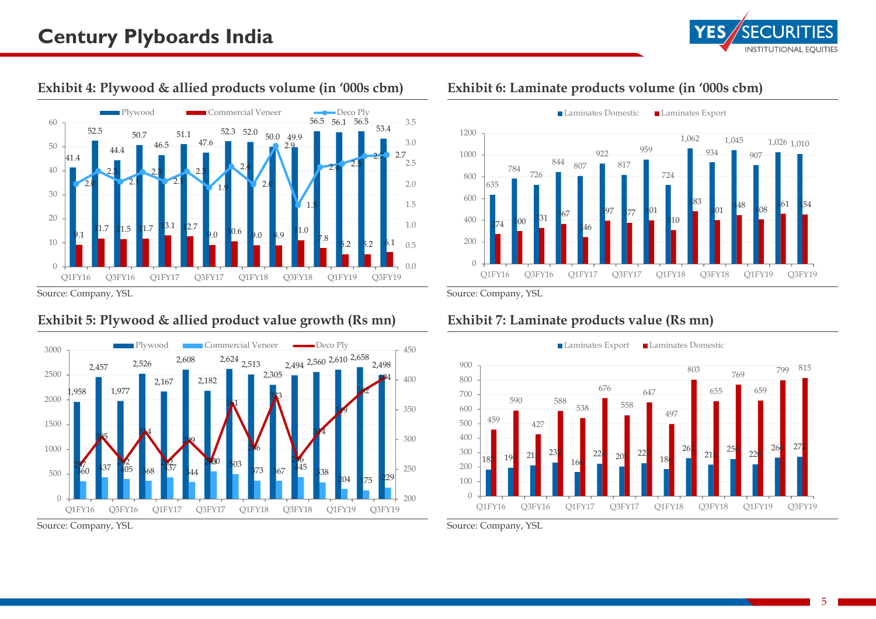

## **Exhibit 4: Plywood & allied products volume (in '000s cbm)**



Source: Company, YSL

## **Exhibit 5: Plywood & allied product value growth (Rs mn)**



Source: Company, YSL

### **Exhibit 6: Laminate products volume (in '000s cbm)**



Source: Company, YSL

## **Exhibit 7: Laminate products value (Rs mn)**



Source: Company, YSL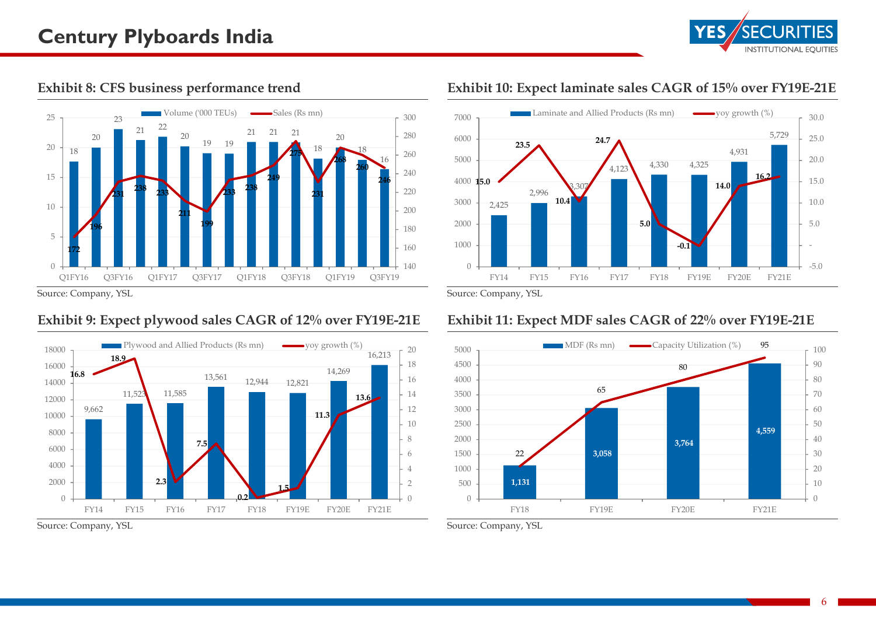



**Exhibit 8: CFS business performance trend** 

#### Source: Company, YSL

#### **Exhibit 9: Expect plywood sales CAGR of 12% over FY19E-21E**



Source: Company, YSL

## **Exhibit 10: Expect laminate sales CAGR of 15% over FY19E-21E**



Source: Company, YSL

## **Exhibit 11: Expect MDF sales CAGR of 22% over FY19E-21E**

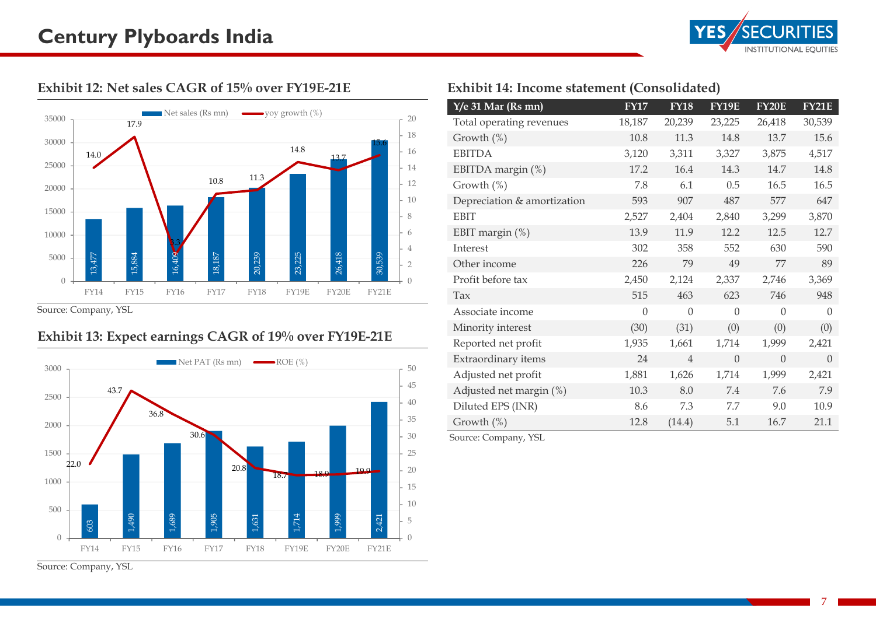

#### **Exhibit 12: Net sales CAGR of 15% over FY19E-21E**



Source: Company, YSL

## **Exhibit 13: Expect earnings CAGR of 19% over FY19E-21E**



Source: Company, YSL

## **Exhibit 14: Income statement (Consolidated)**

| $Y/e$ 31 Mar (Rs mn)        | <b>FY17</b> | <b>FY18</b>    | <b>FY19E</b> | <b>FY20E</b> | <b>FY21E</b> |
|-----------------------------|-------------|----------------|--------------|--------------|--------------|
| Total operating revenues    | 18,187      | 20,239         | 23,225       | 26,418       | 30,539       |
| Growth $(\%)$               | 10.8        | 11.3           | 14.8         | 13.7         | 15.6         |
| <b>EBITDA</b>               | 3,120       | 3,311          | 3,327        | 3,875        | 4,517        |
| EBITDA margin (%)           | 17.2        | 16.4           | 14.3         | 14.7         | 14.8         |
| Growth (%)                  | 7.8         | 6.1            | 0.5          | 16.5         | 16.5         |
| Depreciation & amortization | 593         | 907            | 487          | 577          | 647          |
| <b>EBIT</b>                 | 2,527       | 2,404          | 2,840        | 3,299        | 3,870        |
| EBIT margin (%)             | 13.9        | 11.9           | 12.2         | 12.5         | 12.7         |
| Interest                    | 302         | 358            | 552          | 630          | 590          |
| Other income                | 226         | 79             | 49           | 77           | 89           |
| Profit before tax           | 2,450       | 2,124          | 2,337        | 2,746        | 3,369        |
| Tax                         | 515         | 463            | 623          | 746          | 948          |
| Associate income            | $\theta$    | $\Omega$       | $\theta$     | $\Omega$     | $\Omega$     |
| Minority interest           | (30)        | (31)           | (0)          | (0)          | (0)          |
| Reported net profit         | 1,935       | 1,661          | 1,714        | 1,999        | 2,421        |
| Extraordinary items         | 24          | $\overline{4}$ | $\Omega$     | $\theta$     | $\Omega$     |
| Adjusted net profit         | 1,881       | 1,626          | 1,714        | 1,999        | 2,421        |
| Adjusted net margin (%)     | 10.3        | 8.0            | 7.4          | 7.6          | 7.9          |
| Diluted EPS (INR)           | 8.6         | 7.3            | 7.7          | 9.0          | 10.9         |
| Growth (%)                  | 12.8        | (14.4)         | 5.1          | 16.7         | 21.1         |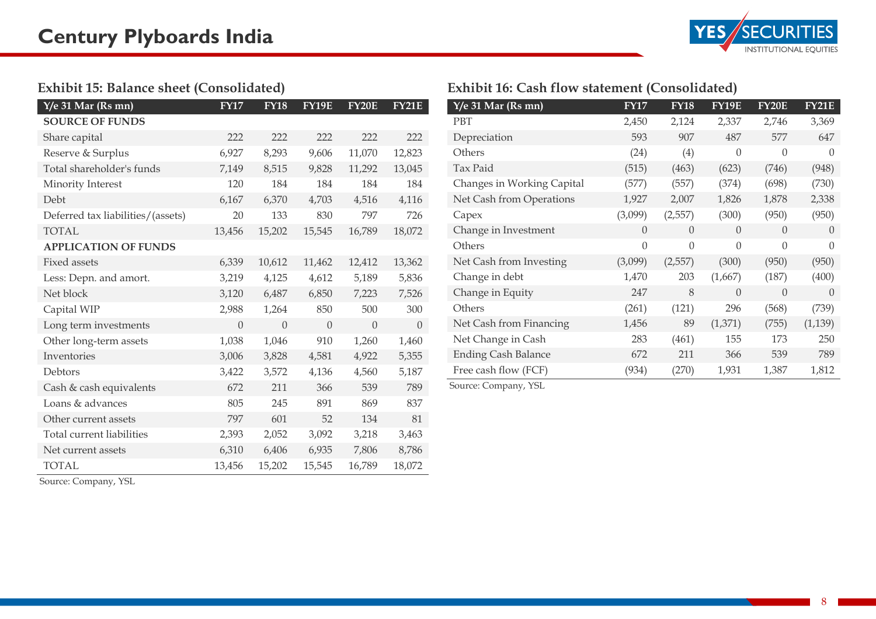

#### **Exhibit 15: Balance sheet (Consolidated)**

| $Y/e$ 31 Mar (Rs mn)              | <b>FY17</b> | <b>FY18</b> | <b>FY19E</b> | <b>FY20E</b> | <b>FY21E</b> |
|-----------------------------------|-------------|-------------|--------------|--------------|--------------|
| <b>SOURCE OF FUNDS</b>            |             |             |              |              |              |
| Share capital                     | 222         | 222         | 222          | 222          | 222          |
| Reserve & Surplus                 | 6,927       | 8,293       | 9,606        | 11,070       | 12,823       |
| Total shareholder's funds         | 7,149       | 8,515       | 9,828        | 11,292       | 13,045       |
| Minority Interest                 | 120         | 184         | 184          | 184          | 184          |
| Debt                              | 6,167       | 6,370       | 4,703        | 4,516        | 4,116        |
| Deferred tax liabilities/(assets) | 20          | 133         | 830          | 797          | 726          |
| TOTAL                             | 13,456      | 15,202      | 15,545       | 16,789       | 18,072       |
| <b>APPLICATION OF FUNDS</b>       |             |             |              |              |              |
| <b>Fixed assets</b>               | 6,339       | 10,612      | 11,462       | 12,412       | 13,362       |
| Less: Depn. and amort.            | 3,219       | 4,125       | 4,612        | 5,189        | 5,836        |
| Net block                         | 3,120       | 6,487       | 6,850        | 7,223        | 7,526        |
| Capital WIP                       | 2,988       | 1,264       | 850          | 500          | 300          |
| Long term investments             | $\Omega$    | $\Omega$    | $\Omega$     | $\Omega$     | $\Omega$     |
| Other long-term assets            | 1,038       | 1,046       | 910          | 1,260        | 1,460        |
| Inventories                       | 3,006       | 3,828       | 4,581        | 4,922        | 5,355        |
| Debtors                           | 3,422       | 3,572       | 4,136        | 4,560        | 5,187        |
| Cash & cash equivalents           | 672         | 211         | 366          | 539          | 789          |
| Loans & advances                  | 805         | 245         | 891          | 869          | 837          |
| Other current assets              | 797         | 601         | 52           | 134          | 81           |
| Total current liabilities         | 2,393       | 2,052       | 3,092        | 3,218        | 3,463        |
| Net current assets                | 6,310       | 6,406       | 6,935        | 7,806        | 8,786        |
| <b>TOTAL</b>                      | 13,456      | 15,202      | 15,545       | 16,789       | 18,072       |

## **Exhibit 16: Cash flow statement (Consolidated)**

| $Y/e$ 31 Mar (Rs mn)       | <b>FY17</b> | <b>FY18</b>    | <b>FY19E</b> | <b>FY20E</b>   | <b>FY21E</b> |
|----------------------------|-------------|----------------|--------------|----------------|--------------|
| PBT                        | 2,450       | 2,124          | 2,337        | 2,746          | 3,369        |
| Depreciation               | 593         | 907            | 487          | 577            | 647          |
| Others                     | (24)        | (4)            | $\theta$     | $\overline{0}$ | $\Omega$     |
| Tax Paid                   | (515)       | (463)          | (623)        | (746)          | (948)        |
| Changes in Working Capital | (577)       | (557)          | (374)        | (698)          | (730)        |
| Net Cash from Operations   | 1,927       | 2,007          | 1,826        | 1,878          | 2,338        |
| Capex                      | (3,099)     | (2,557)        | (300)        | (950)          | (950)        |
| Change in Investment       | $\theta$    | $\overline{0}$ | $\theta$     | $\theta$       | $\Omega$     |
| Others                     | $\Omega$    | $\overline{0}$ | $\theta$     | $\overline{0}$ | $\Omega$     |
| Net Cash from Investing    | (3,099)     | (2,557)        | (300)        | (950)          | (950)        |
| Change in debt             | 1,470       | 203            | (1,667)      | (187)          | (400)        |
| Change in Equity           | 247         | 8              | $\Omega$     | $\overline{0}$ | $\left($     |
| Others                     | (261)       | (121)          | 296          | (568)          | (739)        |
| Net Cash from Financing    | 1,456       | 89             | (1,371)      | (755)          | (1, 139)     |
| Net Change in Cash         | 283         | (461)          | 155          | 173            | 250          |
| <b>Ending Cash Balance</b> | 672         | 211            | 366          | 539            | 789          |
| Free cash flow (FCF)       | (934)       | (270)          | 1,931        | 1,387          | 1,812        |

Source: Company, YSL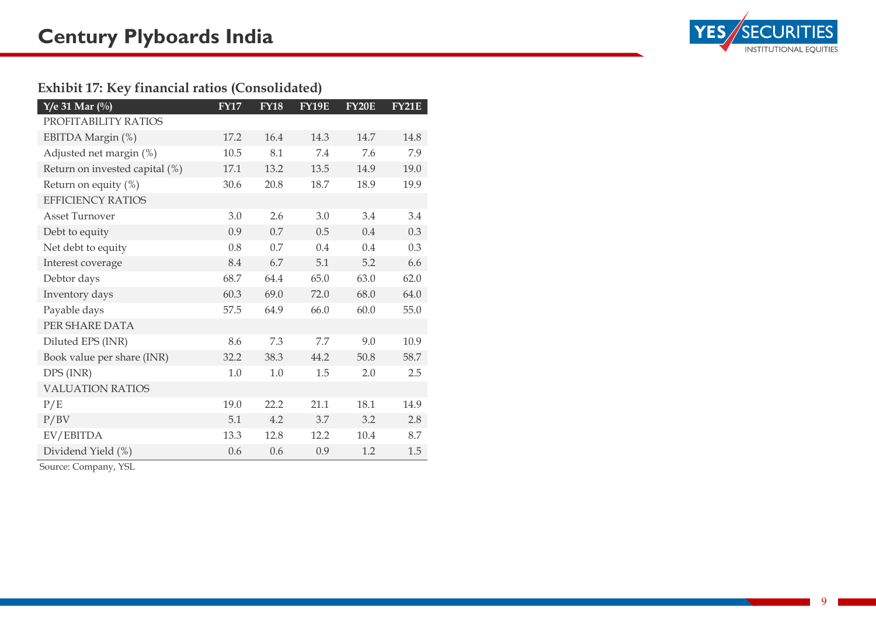## **Exhibit 17: Key financial ratios (Consolidated)**

| $Y/e$ 31 Mar $(\%)$            | <b>FY17</b> | <b>FY18</b> | <b>FY19E</b> | <b>FY20E</b> | <b>FY21E</b> |
|--------------------------------|-------------|-------------|--------------|--------------|--------------|
| PROFITABILITY RATIOS           |             |             |              |              |              |
| EBITDA Margin (%)              | 17.2        | 16.4        | 14.3         | 14.7         | 14.8         |
| Adjusted net margin (%)        | 10.5        | 8.1         | 7.4          | 7.6          | 7.9          |
| Return on invested capital (%) | 17.1        | 13.2        | 13.5         | 14.9         | 19.0         |
| Return on equity $(\%)$        | 30.6        | 20.8        | 18.7         | 18.9         | 19.9         |
| <b>EFFICIENCY RATIOS</b>       |             |             |              |              |              |
| <b>Asset Turnover</b>          | 3.0         | 2.6         | 3.0          | 3.4          | 3.4          |
| Debt to equity                 | 0.9         | 0.7         | 0.5          | 0.4          | 0.3          |
| Net debt to equity             | 0.8         | 0.7         | 0.4          | 0.4          | 0.3          |
| Interest coverage              | 8.4         | 6.7         | 5.1          | 5.2          | 6.6          |
| Debtor days                    | 68.7        | 64.4        | 65.0         | 63.0         | 62.0         |
| Inventory days                 | 60.3        | 69.0        | 72.0         | 68.0         | 64.0         |
| Payable days                   | 57.5        | 64.9        | 66.0         | 60.0         | 55.0         |
| PER SHARE DATA                 |             |             |              |              |              |
| Diluted EPS (INR)              | 8.6         | 7.3         | 7.7          | 9.0          | 10.9         |
| Book value per share (INR)     | 32.2        | 38.3        | 44.2         | 50.8         | 58.7         |
| DPS (INR)                      | 1.0         | 1.0         | 1.5          | 2.0          | 2.5          |
| <b>VALUATION RATIOS</b>        |             |             |              |              |              |
| P/E                            | 19.0        | 22.2        | 21.1         | 18.1         | 14.9         |
| P/BV                           | 5.1         | 4.2         | 3.7          | 3.2          | 2.8          |
| EV/EBITDA                      | 13.3        | 12.8        | 12.2         | 10.4         | 8.7          |
| Dividend Yield (%)             | 0.6         | 0.6         | 0.9          | 1.2          | 1.5          |

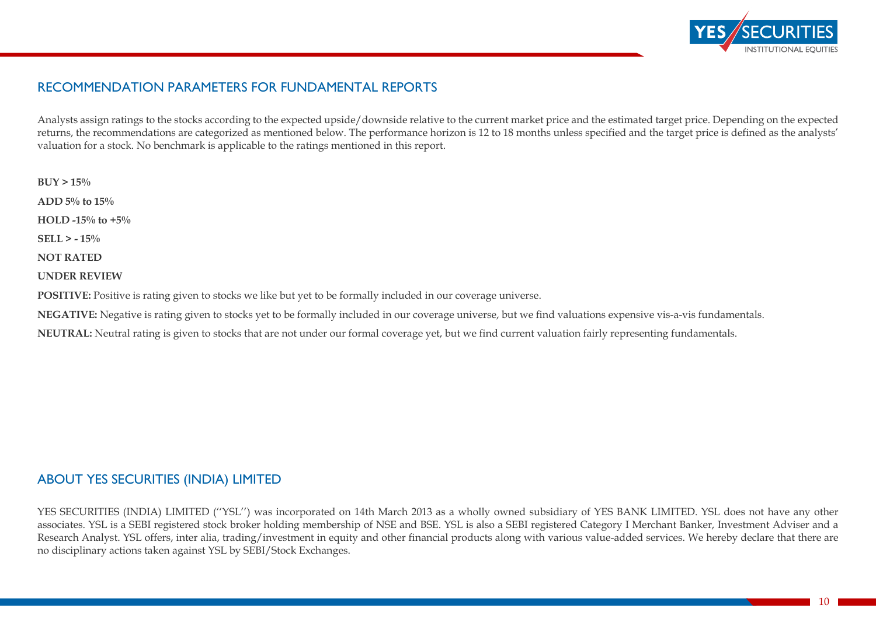

## RECOMMENDATION PARAMETERS FOR FUNDAMENTAL REPORTS

Analysts assign ratings to the stocks according to the expected upside/downside relative to the current market price and the estimated target price. Depending on the expected returns, the recommendations are categorized as mentioned below. The performance horizon is 12 to 18 months unless specified and the target price is defined as the analysts' valuation for a stock. No benchmark is applicable to the ratings mentioned in this report.

**BUY > 15% ADD 5% to 15% HOLD -15% to +5% SELL > - 15% NOT RATED UNDER REVIEW**

POSITIVE: Positive is rating given to stocks we like but yet to be formally included in our coverage universe.

**NEGATIVE:** Negative is rating given to stocks yet to be formally included in our coverage universe, but we find valuations expensive vis-a-vis fundamentals.

**NEUTRAL:** Neutral rating is given to stocks that are not under our formal coverage yet, but we find current valuation fairly representing fundamentals.

## ABOUT YES SECURITIES (INDIA) LIMITED

YES SECURITIES (INDIA) LIMITED (''YSL'') was incorporated on 14th March 2013 as a wholly owned subsidiary of YES BANK LIMITED. YSL does not have any other associates. YSL is a SEBI registered stock broker holding membership of NSE and BSE. YSL is also a SEBI registered Category I Merchant Banker, Investment Adviser and a Research Analyst. YSL offers, inter alia, trading/investment in equity and other financial products along with various value-added services. We hereby declare that there are no disciplinary actions taken against YSL by SEBI/Stock Exchanges.